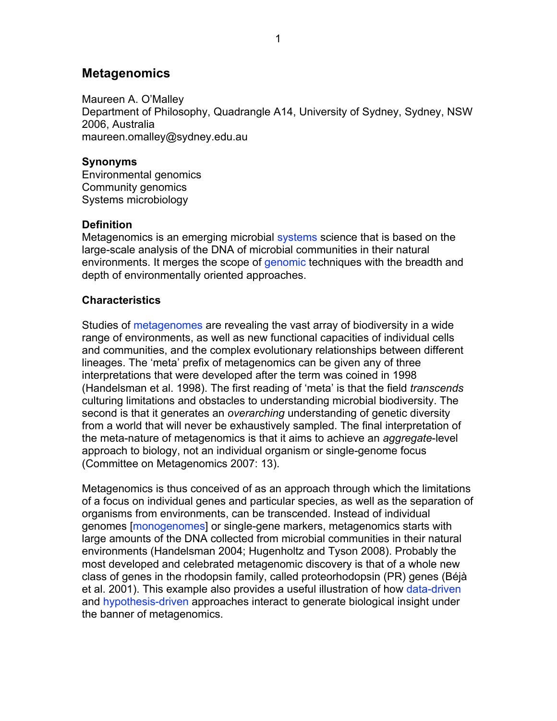# **Metagenomics**

Maureen A. O'Malley Department of Philosophy, Quadrangle A14, University of Sydney, Sydney, NSW 2006, Australia maureen.omalley@sydney.edu.au

## **Synonyms**

Environmental genomics Community genomics Systems microbiology

### **Definition**

Metagenomics is an emerging microbial systems science that is based on the large-scale analysis of the DNA of microbial communities in their natural environments. It merges the scope of genomic techniques with the breadth and depth of environmentally oriented approaches.

### **Characteristics**

Studies of metagenomes are revealing the vast array of biodiversity in a wide range of environments, as well as new functional capacities of individual cells and communities, and the complex evolutionary relationships between different lineages. The 'meta' prefix of metagenomics can be given any of three interpretations that were developed after the term was coined in 1998 (Handelsman et al. 1998). The first reading of 'meta' is that the field *transcends* culturing limitations and obstacles to understanding microbial biodiversity. The second is that it generates an *overarching* understanding of genetic diversity from a world that will never be exhaustively sampled. The final interpretation of the meta-nature of metagenomics is that it aims to achieve an *aggregate*-level approach to biology, not an individual organism or single-genome focus (Committee on Metagenomics 2007: 13).

Metagenomics is thus conceived of as an approach through which the limitations of a focus on individual genes and particular species, as well as the separation of organisms from environments, can be transcended. Instead of individual genomes [monogenomes] or single-gene markers, metagenomics starts with large amounts of the DNA collected from microbial communities in their natural environments (Handelsman 2004; Hugenholtz and Tyson 2008). Probably the most developed and celebrated metagenomic discovery is that of a whole new class of genes in the rhodopsin family, called proteorhodopsin (PR) genes (Béjà et al. 2001). This example also provides a useful illustration of how data-driven and hypothesis-driven approaches interact to generate biological insight under the banner of metagenomics.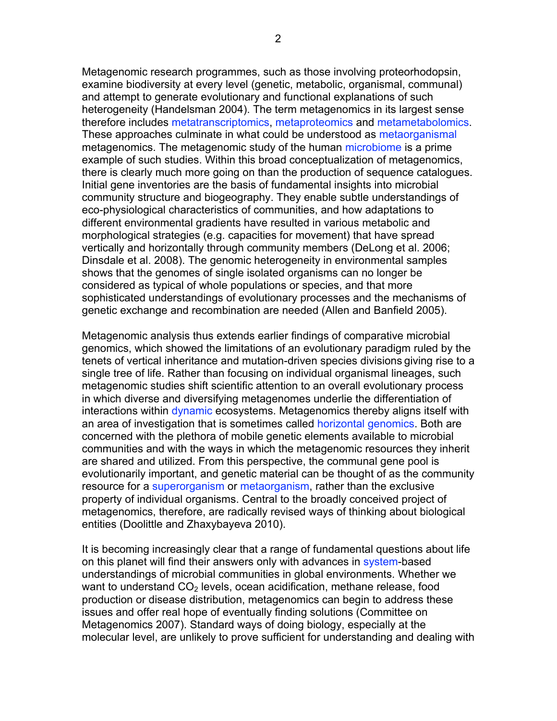Metagenomic research programmes, such as those involving proteorhodopsin, examine biodiversity at every level (genetic, metabolic, organismal, communal) and attempt to generate evolutionary and functional explanations of such heterogeneity (Handelsman 2004). The term metagenomics in its largest sense therefore includes metatranscriptomics, metaproteomics and metametabolomics. These approaches culminate in what could be understood as metaorganismal metagenomics. The metagenomic study of the human microbiome is a prime example of such studies. Within this broad conceptualization of metagenomics, there is clearly much more going on than the production of sequence catalogues. Initial gene inventories are the basis of fundamental insights into microbial community structure and biogeography. They enable subtle understandings of eco-physiological characteristics of communities, and how adaptations to different environmental gradients have resulted in various metabolic and morphological strategies (e.g. capacities for movement) that have spread vertically and horizontally through community members (DeLong et al. 2006; Dinsdale et al. 2008). The genomic heterogeneity in environmental samples shows that the genomes of single isolated organisms can no longer be considered as typical of whole populations or species, and that more sophisticated understandings of evolutionary processes and the mechanisms of genetic exchange and recombination are needed (Allen and Banfield 2005).

Metagenomic analysis thus extends earlier findings of comparative microbial genomics, which showed the limitations of an evolutionary paradigm ruled by the tenets of vertical inheritance and mutation-driven species divisions giving rise to a single tree of life. Rather than focusing on individual organismal lineages, such metagenomic studies shift scientific attention to an overall evolutionary process in which diverse and diversifying metagenomes underlie the differentiation of interactions within dynamic ecosystems. Metagenomics thereby aligns itself with an area of investigation that is sometimes called horizontal genomics. Both are concerned with the plethora of mobile genetic elements available to microbial communities and with the ways in which the metagenomic resources they inherit are shared and utilized. From this perspective, the communal gene pool is evolutionarily important, and genetic material can be thought of as the community resource for a superorganism or metaorganism, rather than the exclusive property of individual organisms. Central to the broadly conceived project of metagenomics, therefore, are radically revised ways of thinking about biological entities (Doolittle and Zhaxybayeva 2010).

It is becoming increasingly clear that a range of fundamental questions about life on this planet will find their answers only with advances in system-based understandings of microbial communities in global environments. Whether we want to understand  $CO<sub>2</sub>$  levels, ocean acidification, methane release, food production or disease distribution, metagenomics can begin to address these issues and offer real hope of eventually finding solutions (Committee on Metagenomics 2007). Standard ways of doing biology, especially at the molecular level, are unlikely to prove sufficient for understanding and dealing with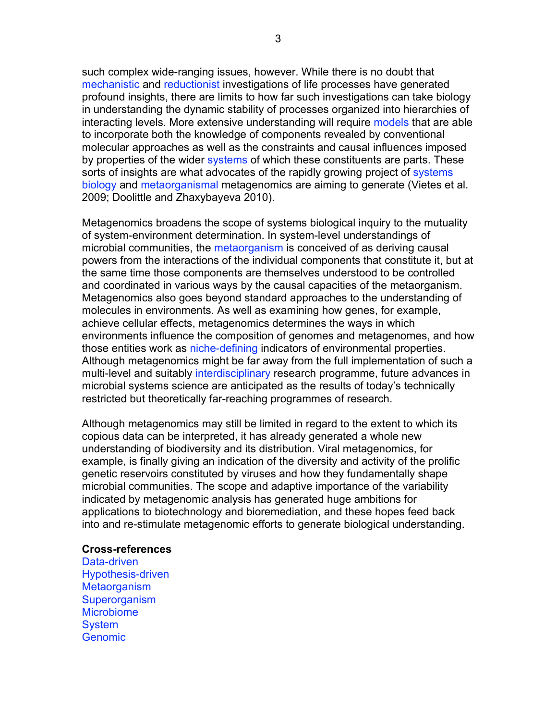such complex wide-ranging issues, however. While there is no doubt that mechanistic and reductionist investigations of life processes have generated profound insights, there are limits to how far such investigations can take biology in understanding the dynamic stability of processes organized into hierarchies of interacting levels. More extensive understanding will require models that are able to incorporate both the knowledge of components revealed by conventional molecular approaches as well as the constraints and causal influences imposed by properties of the wider systems of which these constituents are parts. These sorts of insights are what advocates of the rapidly growing project of systems biology and metaorganismal metagenomics are aiming to generate (Vietes et al. 2009; Doolittle and Zhaxybayeva 2010).

Metagenomics broadens the scope of systems biological inquiry to the mutuality of system-environment determination. In system-level understandings of microbial communities, the metaorganism is conceived of as deriving causal powers from the interactions of the individual components that constitute it, but at the same time those components are themselves understood to be controlled and coordinated in various ways by the causal capacities of the metaorganism. Metagenomics also goes beyond standard approaches to the understanding of molecules in environments. As well as examining how genes, for example, achieve cellular effects, metagenomics determines the ways in which environments influence the composition of genomes and metagenomes, and how those entities work as niche-defining indicators of environmental properties. Although metagenomics might be far away from the full implementation of such a multi-level and suitably interdisciplinary research programme, future advances in microbial systems science are anticipated as the results of today's technically restricted but theoretically far-reaching programmes of research.

Although metagenomics may still be limited in regard to the extent to which its copious data can be interpreted, it has already generated a whole new understanding of biodiversity and its distribution. Viral metagenomics, for example, is finally giving an indication of the diversity and activity of the prolific genetic reservoirs constituted by viruses and how they fundamentally shape microbial communities. The scope and adaptive importance of the variability indicated by metagenomic analysis has generated huge ambitions for applications to biotechnology and bioremediation, and these hopes feed back into and re-stimulate metagenomic efforts to generate biological understanding.

#### **Cross-references**

Data-driven Hypothesis-driven **Metaorganism Superorganism** Microbiome System **Genomic**